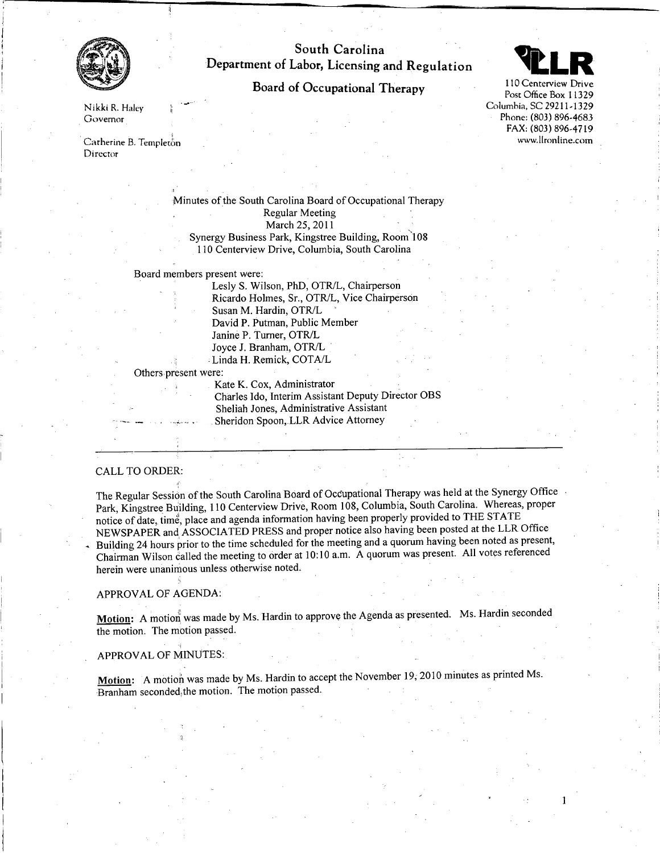

# South Carolina Department of Labor, Licensing and Regulation

# Board of Occupational Therapy



Nikki R. Haley Governor

Catherine B. Templeton Director

> Minutes of the South Carolina Board of Occupational Therapy Regular Meeting March 25, 2011 Synergy Business Park, Kingstree Building, Room"108 110 Centerview Drive, Columbia, South Carolina

Board members present were:

Lesly S. Wilson, PhD, OTR/L, Chairperson Ricardo Holmes, Sr., *OTRJL,* Vice Chairperson Susan M. Hardin, *OTRJL* David P. Putman, Public Member Janine P. Turner, *OTRJL* Joyce 1. Branham, *OTRJL* ;Linda H. Remick, COT *AIL*

Others present were:

Kate K. Cox, Administrator Charles Ido, Interim Assistant Deputy Director OBS Sheliah Jones, Administrative Assistant Sheridon Spoon, LLR Advice Attorney

# CALL TO ORDER:

The Regular Session of the South Carolina Board of Occupational Therapy was held at the Synergy Office Park, Kingstree Building, 110 Centerview Drive, Room 108, Columbia, South Carolina. Whereas, proper notice of date, time, place and agenda information having been properly provided to THE STATE NEWSPAPER and, ASSOCIA TED PRESS and proper notice also having been posted at the LLR Office Building 24 hours prior to the time scheduled for the meeting and a quorum having been noted as present, Chairman Wilson called the meeting to order at 10:10 a.m. A quorum was present. All votes referenced herein were unanimous unless otherwise noted.

# APPROV AL OF AGENDA:

Motion: A motion was made by Ms. Hardin to approve the Agenda as presented. Ms. Hardin seconded the motion. The motion passed.

### APPROV AL OF MINUTES:

Motion: A motion was made by Ms. Hardin to accept the November 19, 2010 minutes as printed Ms. Branham seconded,the motion. The motion passed.

POSt Office Box 11329 Columbia, SC 29211-1329 Phone: (803) 896-4683 FAX: (803) 896-4719 [www.lIronline.cotn](http://www.lIronline.cotn)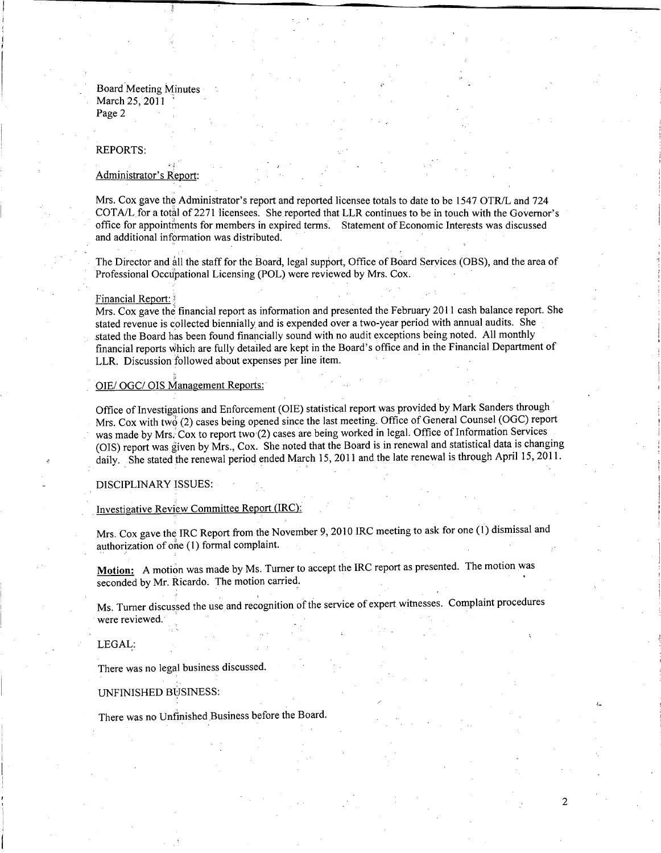Board Meeting Minutes March 25, 2011 Page 2

#### REPORTS:

### Administrator's Report:

Mrs. Cox gave the Administrator's report and reported licensee totals to date to be 1547 OTR/L and 724 COT *AIL* for a total of 2271 licensees. She reported that LLR continues to be in touch with the Governor's office for appointments for members in expired terms. Statement of Economic Interests was discussed and additional information was distributed. . ,

The Director and all the staff for the Board, legal support, Office of Board Services (OBS), and the area of Professional Occupational Licensing (POL) were reviewed by Mrs. Cox.

#### Financial Report:

Mrs. Cox gave the financial report as information and presented the February **2011** cash balance report. She stated revenue is collected biennially and is expended over a two-year period with annual audits. She stated the Board has been found financially sound with no audit exceptions being noted. All monthly financial reports which are fully detailed are kept in the Board's office and in the Financial Department of LLR. Discussion followed about expenses per line item.

# OIE/ OGC/ OIS Management Reports:

Office of Investigations and Enforcement (OIE) statistical report was provided by Mark Sanders through Mrs. Cox with two (2) cases being opened since the last meeting. Office of General Counsel (OGC) report was made by Mrs. Cox to report two (2) cases are being worked in legal. Office of Information Services (OIS) report was given by Mrs., Cox. She noted that the Board is in renewal and statistical data is changing daily. She stated the renewal period ended March 15,2011 and the late renewal is through April 15, 2011.

DISCIPLINARY ISSUES:

# Investigative Review Committee Report (IRC):

Mrs. Cox gave the IRC Report from the November 9, 2010 IRC meeting to ask for one (1) dismissal and authorization of one (1) formal complaint.

**Motion:** A motion was made by Ms. Turner to accept the IRC report as presented. The motion was seconded by Mr. Ricardo. The motion carried.

Ms. Turner discussed the use and recognition of the service of expert witnesses. Complaint procedure were reviewed.

 $\mathcal{D}$ 

#### LEGAL:

There was no legal business discussed.

#### UNFINISHED BUSINESS:

There was no Unfinished Business before the Board.